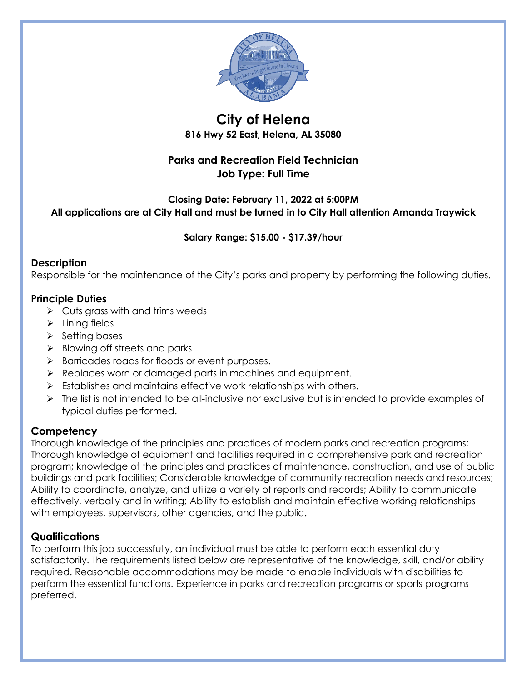

# **City of Helena**

**816 Hwy 52 East, Helena, AL 35080**

## **Parks and Recreation Field Technician Job Type: Full Time**

## **Closing Date: February 11, 2022 at 5:00PM All applications are at City Hall and must be turned in to City Hall attention Amanda Traywick**

## **Salary Range: \$15.00 - \$17.39/hour**

## **Description**

Responsible for the maintenance of the City's parks and property by performing the following duties.

## **Principle Duties**

- $\triangleright$  Cuts grass with and trims weeds
- $\triangleright$  Lining fields
- $\triangleright$  Setting bases
- $\triangleright$  Blowing off streets and parks
- > Barricades roads for floods or event purposes.
- **EXECUTE:** Replaces worn or damaged parts in machines and equipment.
- $\triangleright$  Establishes and maintains effective work relationships with others.
- $\triangleright$  The list is not intended to be all-inclusive nor exclusive but is intended to provide examples of typical duties performed.

## **Competency**

Thorough knowledge of the principles and practices of modern parks and recreation programs; Thorough knowledge of equipment and facilities required in a comprehensive park and recreation program; knowledge of the principles and practices of maintenance, construction, and use of public buildings and park facilities; Considerable knowledge of community recreation needs and resources; Ability to coordinate, analyze, and utilize a variety of reports and records; Ability to communicate effectively, verbally and in writing; Ability to establish and maintain effective working relationships with employees, supervisors, other agencies, and the public.

## **Qualifications**

To perform this job successfully, an individual must be able to perform each essential duty satisfactorily. The requirements listed below are representative of the knowledge, skill, and/or ability required. Reasonable accommodations may be made to enable individuals with disabilities to perform the essential functions. Experience in parks and recreation programs or sports programs preferred.